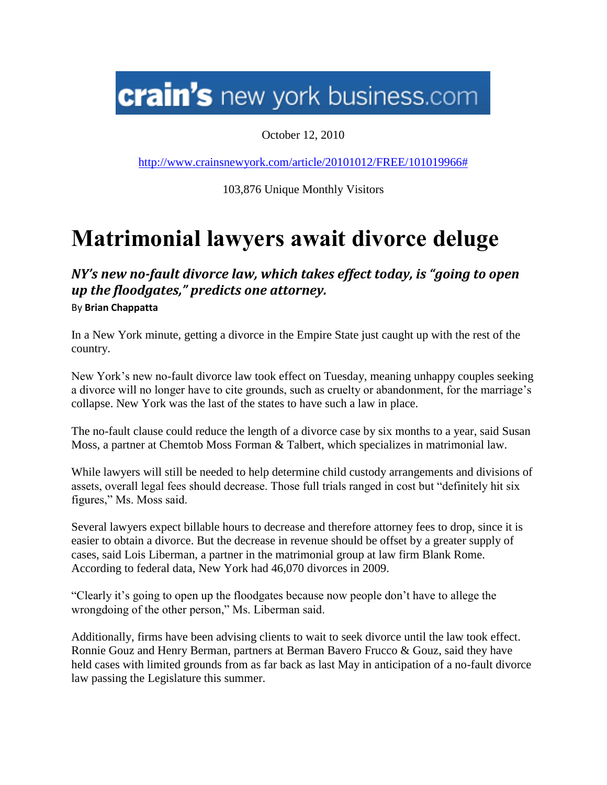## **crain's** new york business.com

October 12, 2010

[http://www.crainsnewyork.com/article/20101012/FREE/101019966#](http://www.crainsnewyork.com/article/20101012/FREE/101019966)

103,876 Unique Monthly Visitors

## **Matrimonial lawyers await divorce deluge**

*NY's new no-fault divorce law, which takes effect today, is "going to open up the floodgates," predicts one attorney.* By **Brian Chappatta**

In a New York minute, getting a divorce in the Empire State just caught up with the rest of the country.

New York's new no-fault divorce law took effect on Tuesday, meaning unhappy couples seeking a divorce will no longer have to cite grounds, such as cruelty or abandonment, for the marriage's collapse. New York was the last of the states to have such a law in place.

The no-fault clause could reduce the length of a divorce case by six months to a year, said Susan Moss, a partner at Chemtob Moss Forman & Talbert, which specializes in matrimonial law.

While lawyers will still be needed to help determine child custody arrangements and divisions of assets, overall legal fees should decrease. Those full trials ranged in cost but "definitely hit six figures," Ms. Moss said.

Several lawyers expect billable hours to decrease and therefore attorney fees to drop, since it is easier to obtain a divorce. But the decrease in revenue should be offset by a greater supply of cases, said Lois Liberman, a partner in the matrimonial group at law firm Blank Rome. According to federal data, New York had 46,070 divorces in 2009.

"Clearly it's going to open up the floodgates because now people don't have to allege the wrongdoing of the other person," Ms. Liberman said.

Additionally, firms have been advising clients to wait to seek divorce until the law took effect. Ronnie Gouz and Henry Berman, partners at Berman Bavero Frucco & Gouz, said they have held cases with limited grounds from as far back as last May in anticipation of a no-fault divorce law passing the Legislature this summer.